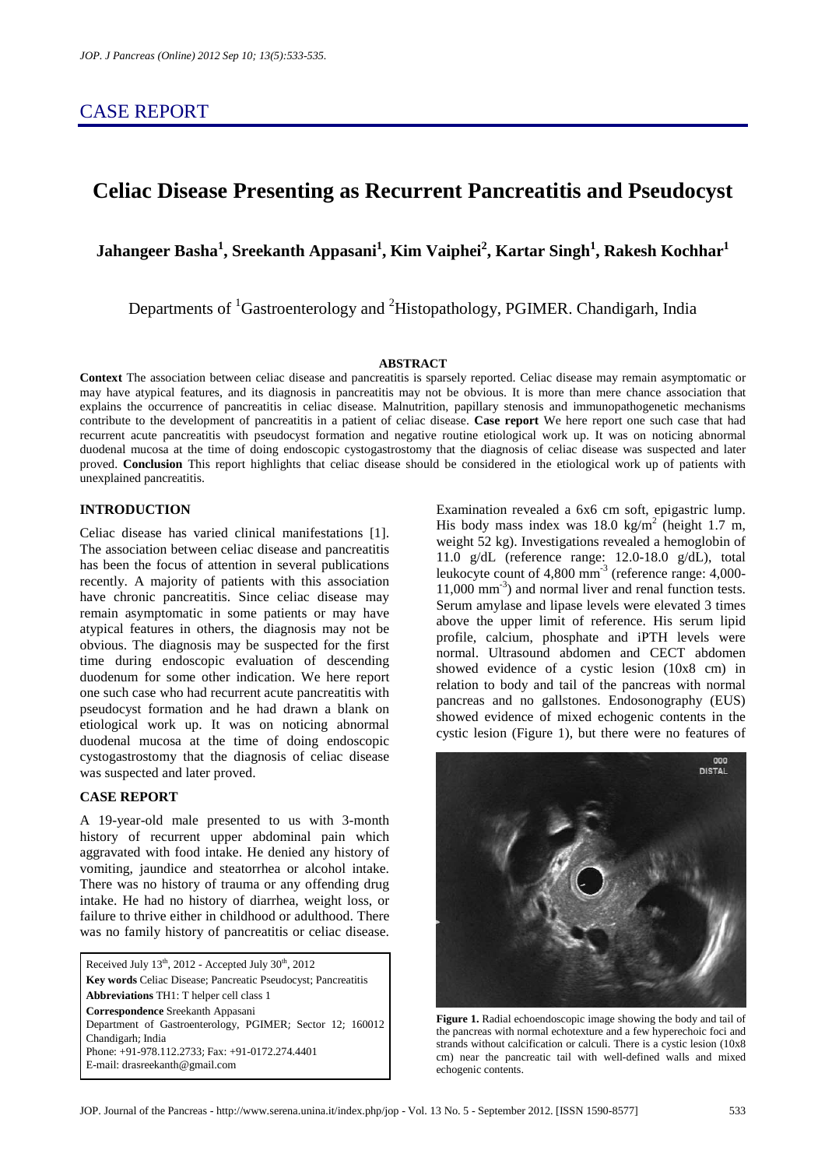# **Celiac Disease Presenting as Recurrent Pancreatitis and Pseudocyst**

**Jahangeer Basha<sup>1</sup> , Sreekanth Appasani<sup>1</sup> , Kim Vaiphei<sup>2</sup> , Kartar Singh<sup>1</sup> , Rakesh Kochhar<sup>1</sup>**

Departments of <sup>1</sup>Gastroenterology and <sup>2</sup>Histopathology, PGIMER. Chandigarh, India

### **ABSTRACT**

**Context** The association between celiac disease and pancreatitis is sparsely reported. Celiac disease may remain asymptomatic or may have atypical features, and its diagnosis in pancreatitis may not be obvious. It is more than mere chance association that explains the occurrence of pancreatitis in celiac disease. Malnutrition, papillary stenosis and immunopathogenetic mechanisms contribute to the development of pancreatitis in a patient of celiac disease. **Case report** We here report one such case that had recurrent acute pancreatitis with pseudocyst formation and negative routine etiological work up. It was on noticing abnormal duodenal mucosa at the time of doing endoscopic cystogastrostomy that the diagnosis of celiac disease was suspected and later proved. **Conclusion** This report highlights that celiac disease should be considered in the etiological work up of patients with unexplained pancreatitis.

## **INTRODUCTION**

Celiac disease has varied clinical manifestations [1]. The association between celiac disease and pancreatitis has been the focus of attention in several publications recently. A majority of patients with this association have chronic pancreatitis. Since celiac disease may remain asymptomatic in some patients or may have atypical features in others, the diagnosis may not be obvious. The diagnosis may be suspected for the first time during endoscopic evaluation of descending duodenum for some other indication. We here report one such case who had recurrent acute pancreatitis with pseudocyst formation and he had drawn a blank on etiological work up. It was on noticing abnormal duodenal mucosa at the time of doing endoscopic cystogastrostomy that the diagnosis of celiac disease was suspected and later proved.

## **CASE REPORT**

A 19-year-old male presented to us with 3-month history of recurrent upper abdominal pain which aggravated with food intake. He denied any history of vomiting, jaundice and steatorrhea or alcohol intake. There was no history of trauma or any offending drug intake. He had no history of diarrhea, weight loss, or failure to thrive either in childhood or adulthood. There was no family history of pancreatitis or celiac disease.

Received July  $13<sup>th</sup>$ , 2012 - Accepted July  $30<sup>th</sup>$ , 2012 **Key words** Celiac Disease; Pancreatic Pseudocyst; Pancreatitis **Abbreviations** TH1: T helper cell class 1 **Correspondence** Sreekanth Appasani Department of Gastroenterology, PGIMER; Sector 12; 160012 Chandigarh; India Phone: +91-978.112.2733; Fax: +91-0172.274.4401 E-mail: drasreekanth@gmail.com

Examination revealed a 6x6 cm soft, epigastric lump. His body mass index was  $18.0 \text{ kg/m}^2$  (height 1.7 m, weight 52 kg). Investigations revealed a hemoglobin of 11.0  $g/dL$  (reference range: 12.0-18.0  $g/dL$ ), total leukocyte count of 4,800 mm-3 (reference range: 4,000-  $11,000$  mm<sup>-3</sup>) and normal liver and renal function tests. Serum amylase and lipase levels were elevated 3 times above the upper limit of reference. His serum lipid profile, calcium, phosphate and iPTH levels were normal. Ultrasound abdomen and CECT abdomen showed evidence of a cystic lesion (10x8 cm) in relation to body and tail of the pancreas with normal pancreas and no gallstones. Endosonography (EUS) showed evidence of mixed echogenic contents in the cystic lesion (Figure 1), but there were no features of



**Figure 1.** Radial echoendoscopic image showing the body and tail of the pancreas with normal echotexture and a few hyperechoic foci and strands without calcification or calculi. There is a cystic lesion (10x8 cm) near the pancreatic tail with well-defined walls and mixed echogenic contents.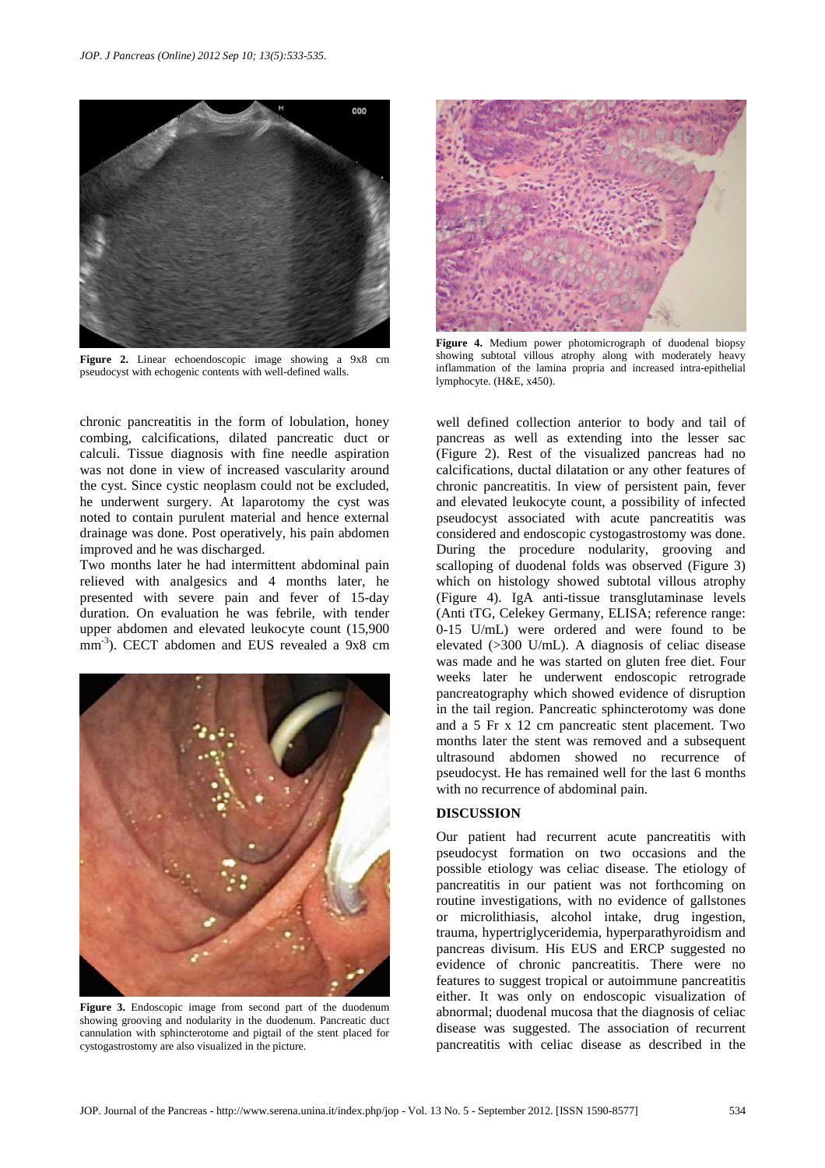

**Figure 2.** Linear echoendoscopic image showing a 9x8 cm pseudocyst with echogenic contents with well-defined walls.

chronic pancreatitis in the form of lobulation, honey combing, calcifications, dilated pancreatic duct or calculi. Tissue diagnosis with fine needle aspiration was not done in view of increased vascularity around the cyst. Since cystic neoplasm could not be excluded, he underwent surgery. At laparotomy the cyst was noted to contain purulent material and hence external drainage was done. Post operatively, his pain abdomen improved and he was discharged.

Two months later he had intermittent abdominal pain relieved with analgesics and 4 months later, he presented with severe pain and fever of 15-day duration. On evaluation he was febrile, with tender upper abdomen and elevated leukocyte count (15,900 mm<sup>-3</sup>). CECT abdomen and EUS revealed a 9x8 cm



**Figure 3.** Endoscopic image from second part of the duodenum showing grooving and nodularity in the duodenum. Pancreatic duct cannulation with sphincterotome and pigtail of the stent placed for cystogastrostomy are also visualized in the picture.



**Figure 4.** Medium power photomicrograph of duodenal biopsy showing subtotal villous atrophy along with moderately heavy inflammation of the lamina propria and increased intra-epithelial lymphocyte. (H&E, x450).

well defined collection anterior to body and tail of pancreas as well as extending into the lesser sac (Figure 2). Rest of the visualized pancreas had no calcifications, ductal dilatation or any other features of chronic pancreatitis. In view of persistent pain, fever and elevated leukocyte count, a possibility of infected pseudocyst associated with acute pancreatitis was considered and endoscopic cystogastrostomy was done. During the procedure nodularity, grooving and scalloping of duodenal folds was observed (Figure 3) which on histology showed subtotal villous atrophy (Figure 4). IgA anti-tissue transglutaminase levels (Anti tTG, Celekey Germany, ELISA; reference range: 0-15 U/mL) were ordered and were found to be elevated (>300 U/mL). A diagnosis of celiac disease was made and he was started on gluten free diet. Four weeks later he underwent endoscopic retrograde pancreatography which showed evidence of disruption in the tail region. Pancreatic sphincterotomy was done and a 5 Fr x 12 cm pancreatic stent placement. Two months later the stent was removed and a subsequent ultrasound abdomen showed no recurrence of pseudocyst. He has remained well for the last 6 months with no recurrence of abdominal pain.

#### **DISCUSSION**

Our patient had recurrent acute pancreatitis with pseudocyst formation on two occasions and the possible etiology was celiac disease. The etiology of pancreatitis in our patient was not forthcoming on routine investigations, with no evidence of gallstones or microlithiasis, alcohol intake, drug ingestion, trauma, hypertriglyceridemia, hyperparathyroidism and pancreas divisum. His EUS and ERCP suggested no evidence of chronic pancreatitis. There were no features to suggest tropical or autoimmune pancreatitis either. It was only on endoscopic visualization of abnormal; duodenal mucosa that the diagnosis of celiac disease was suggested. The association of recurrent pancreatitis with celiac disease as described in the